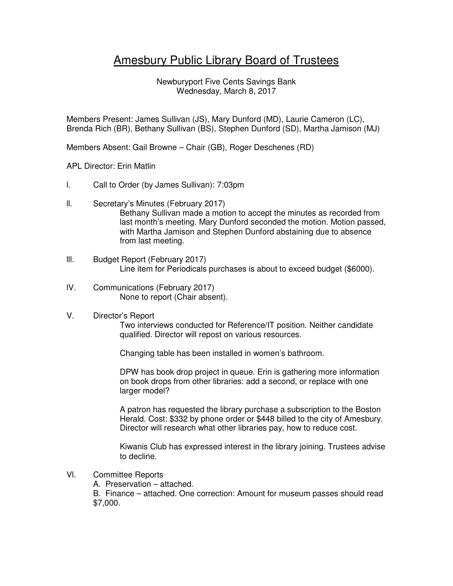## Amesbury Public Library Board of Trustees

Newburyport Five Cents Savings Bank Wednesday, March 8, 2017

Members Present: James Sullivan (JS), Mary Dunford (MD), Laurie Cameron (LC), Brenda Rich (BR), Bethany Sullivan (BS), Stephen Dunford (SD), Martha Jamison (MJ)

Members Absent: Gail Browne – Chair (GB), Roger Deschenes (RD)

## APL Director: Erin Matlin

- l. Call to Order (by James Sullivan): 7:03pm
- ll. Secretary's Minutes (February 2017) Bethany Sullivan made a motion to accept the minutes as recorded from last month's meeting. Mary Dunford seconded the motion. Motion passed, with Martha Jamison and Stephen Dunford abstaining due to absence from last meeting.
- lll. Budget Report (February 2017) Line item for Periodicals purchases is about to exceed budget (\$6000).
- lV. Communications (February 2017) None to report (Chair absent).
- V. Director's Report

Two interviews conducted for Reference/IT position. Neither candidate qualified. Director will repost on various resources.

Changing table has been installed in women's bathroom.

DPW has book drop project in queue. Erin is gathering more information on book drops from other libraries: add a second, or replace with one larger model?

A patron has requested the library purchase a subscription to the Boston Herald. Cost: \$332 by phone order or \$448 billed to the city of Amesbury. Director will research what other libraries pay, how to reduce cost.

Kiwanis Club has expressed interest in the library joining. Trustees advise to decline.

- Vl. Committee Reports
	- A. Preservation attached.

B. Finance – attached. One correction: Amount for museum passes should read \$7,000.